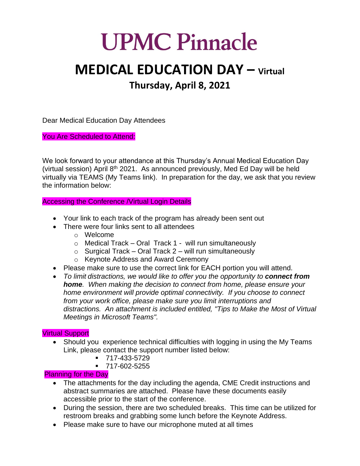## **UPMC Pinnacle**

## **MEDICAL EDUCATION DAY – Virtual Thursday, April 8, 2021**

Dear Medical Education Day Attendees

You Are Scheduled to Attend:

We look forward to your attendance at this Thursday's Annual Medical Education Day (virtual session) April 8<sup>th</sup> 2021. As announced previously, Med Ed Day will be held virtually via TEAMS (My Teams link). In preparation for the day, we ask that you review the information below:

Accessing the Conference /Virtual Login Details

- Your link to each track of the program has already been sent out
- There were four links sent to all attendees
	- o Welcome
	- $\circ$  Medical Track Oral Track 1 will run simultaneously
	- $\circ$  Surgical Track Oral Track 2 will run simultaneously
	- o Keynote Address and Award Ceremony
- Please make sure to use the correct link for EACH portion you will attend.
- *To limit distractions, we would like to offer you the opportunity to connect from home. When making the decision to connect from home, please ensure your home environment will provide optimal connectivity. If you choose to connect from your work office, please make sure you limit interruptions and distractions. An attachment is included entitled, "Tips to Make the Most of Virtual Meetings in Microsoft Teams".*

## Virtual Support

- Should you experience technical difficulties with logging in using the My Teams Link, please contact the support number listed below:
	- 717-433-5729
	- 717-602-5255

## Planning for the Day

- The attachments for the day including the agenda, CME Credit instructions and abstract summaries are attached. Please have these documents easily accessible prior to the start of the conference.
- During the session, there are two scheduled breaks. This time can be utilized for restroom breaks and grabbing some lunch before the Keynote Address.
- Please make sure to have our microphone muted at all times